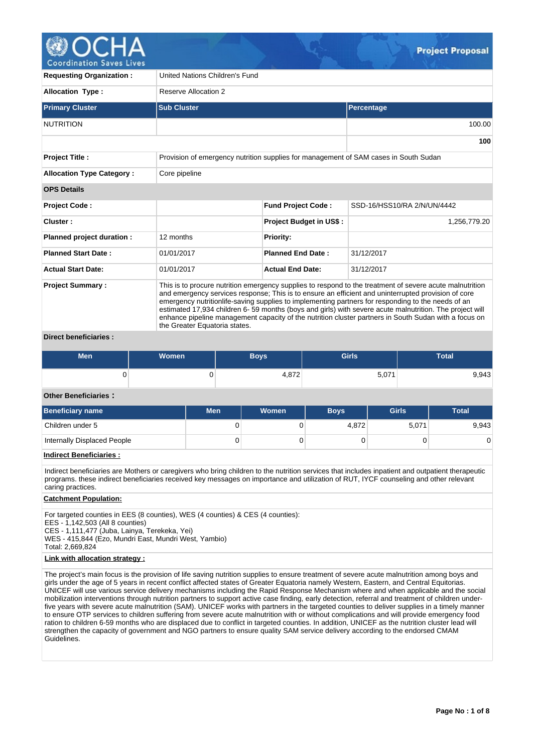

**Coordination Saves Lives** 

| <b>Requesting Organization:</b>  | United Nations Children's Fund                                                                                                                                                                                                                                                                                                                                                                                                                                                                                                                                             |                                |                             |  |  |  |  |  |  |
|----------------------------------|----------------------------------------------------------------------------------------------------------------------------------------------------------------------------------------------------------------------------------------------------------------------------------------------------------------------------------------------------------------------------------------------------------------------------------------------------------------------------------------------------------------------------------------------------------------------------|--------------------------------|-----------------------------|--|--|--|--|--|--|
| <b>Allocation Type:</b>          | Reserve Allocation 2                                                                                                                                                                                                                                                                                                                                                                                                                                                                                                                                                       |                                |                             |  |  |  |  |  |  |
| <b>Primary Cluster</b>           | <b>Sub Cluster</b>                                                                                                                                                                                                                                                                                                                                                                                                                                                                                                                                                         | Percentage                     |                             |  |  |  |  |  |  |
| <b>NUTRITION</b>                 |                                                                                                                                                                                                                                                                                                                                                                                                                                                                                                                                                                            |                                | 100.00                      |  |  |  |  |  |  |
|                                  |                                                                                                                                                                                                                                                                                                                                                                                                                                                                                                                                                                            |                                | 100                         |  |  |  |  |  |  |
| <b>Project Title:</b>            | Provision of emergency nutrition supplies for management of SAM cases in South Sudan                                                                                                                                                                                                                                                                                                                                                                                                                                                                                       |                                |                             |  |  |  |  |  |  |
| <b>Allocation Type Category:</b> | Core pipeline                                                                                                                                                                                                                                                                                                                                                                                                                                                                                                                                                              |                                |                             |  |  |  |  |  |  |
| <b>OPS Details</b>               |                                                                                                                                                                                                                                                                                                                                                                                                                                                                                                                                                                            |                                |                             |  |  |  |  |  |  |
| <b>Project Code:</b>             |                                                                                                                                                                                                                                                                                                                                                                                                                                                                                                                                                                            | <b>Fund Project Code:</b>      | SSD-16/HSS10/RA 2/N/UN/4442 |  |  |  |  |  |  |
| Cluster:                         |                                                                                                                                                                                                                                                                                                                                                                                                                                                                                                                                                                            | <b>Project Budget in US\$:</b> | 1,256,779.20                |  |  |  |  |  |  |
| Planned project duration :       | 12 months                                                                                                                                                                                                                                                                                                                                                                                                                                                                                                                                                                  | <b>Priority:</b>               |                             |  |  |  |  |  |  |
| <b>Planned Start Date:</b>       | 01/01/2017                                                                                                                                                                                                                                                                                                                                                                                                                                                                                                                                                                 | <b>Planned End Date:</b>       | 31/12/2017                  |  |  |  |  |  |  |
| <b>Actual Start Date:</b>        | 01/01/2017                                                                                                                                                                                                                                                                                                                                                                                                                                                                                                                                                                 | <b>Actual End Date:</b>        | 31/12/2017                  |  |  |  |  |  |  |
| <b>Project Summary:</b>          | This is to procure nutrition emergency supplies to respond to the treatment of severe acute malnutrition<br>and emergency services response; This is to ensure an efficient and uninterrupted provision of core<br>emergency nutritionlife-saving supplies to implementing partners for responding to the needs of an<br>estimated 17,934 children 6-59 months (boys and girls) with severe acute malnutrition. The project will<br>enhance pipeline management capacity of the nutrition cluster partners in South Sudan with a focus on<br>the Greater Equatoria states. |                                |                             |  |  |  |  |  |  |

### **Direct beneficiaries :**

| <b>Men</b> | <b>Women</b> | Boys' | <b>Girls</b> | Total |  |  |
|------------|--------------|-------|--------------|-------|--|--|
|            | ີ            | 4,872 | 5,071        | 9,943 |  |  |

## **Other Beneficiaries :**

| Beneficiary name            | <b>Men</b> | Women | <b>Boys</b> | <b>Girls</b> | <b>Total</b> |
|-----------------------------|------------|-------|-------------|--------------|--------------|
| Children under 5            | υ          |       | 4.872       | 5,071        | 9,943        |
| Internally Displaced People |            |       |             |              |              |

## **Indirect Beneficiaries :**

Indirect beneficiaries are Mothers or caregivers who bring children to the nutrition services that includes inpatient and outpatient therapeutic programs. these indirect beneficiaries received key messages on importance and utilization of RUT, IYCF counseling and other relevant caring practices.

### **Catchment Population:**

For targeted counties in EES (8 counties), WES (4 counties) & CES (4 counties): EES - 1,142,503 (All 8 counties) CES - 1,111,477 (Juba, Lainya, Terekeka, Yei) WES - 415,844 (Ezo, Mundri East, Mundri West, Yambio) Total: 2,669,824

#### **Link with allocation strategy :**

The project's main focus is the provision of life saving nutrition supplies to ensure treatment of severe acute malnutrition among boys and girls under the age of 5 years in recent conflict affected states of Greater Equatoria namely Western, Eastern, and Central Equitorias. UNICEF will use various service delivery mechanisms including the Rapid Response Mechanism where and when applicable and the social mobilization interventions through nutrition partners to support active case finding, early detection, referral and treatment of children underfive years with severe acute malnutrition (SAM). UNICEF works with partners in the targeted counties to deliver supplies in a timely manner to ensure OTP services to children suffering from severe acute malnutrition with or without complications and will provide emergency food ration to children 6-59 months who are displaced due to conflict in targeted counties. In addition, UNICEF as the nutrition cluster lead will strengthen the capacity of government and NGO partners to ensure quality SAM service delivery according to the endorsed CMAM Guidelines.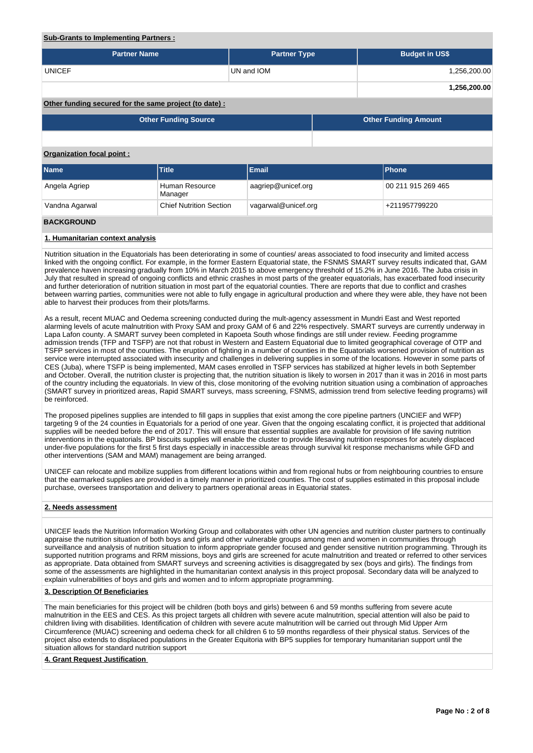#### **Sub-Grants to Implementing Partners :**

| <b>Partner Name</b> | <b>Partner Type</b> | <b>Budget in US\$</b> |
|---------------------|---------------------|-----------------------|
| <b>UNICEF</b>       | UN and IOM          | 1,256,200.00          |
|                     |                     | 1,256,200.00          |

## **Other funding secured for the same project (to date) :**

| <b>Other Funding Source</b> | <b>Other Funding Amount</b> |
|-----------------------------|-----------------------------|
|                             |                             |

## **Organization focal point :**

| <b>Name</b>    | <b>Title</b>                   | Email               | <b>IPhone</b>      |  |  |  |  |
|----------------|--------------------------------|---------------------|--------------------|--|--|--|--|
| Angela Agriep  | Human Resource<br>Manager      | aagriep@unicef.org  | 00 211 915 269 465 |  |  |  |  |
| Vandna Agarwal | <b>Chief Nutrition Section</b> | vagarwal@unicef.org | +211957799220      |  |  |  |  |

## **BACKGROUND**

### **1. Humanitarian context analysis**

Nutrition situation in the Equatorials has been deteriorating in some of counties/ areas associated to food insecurity and limited access linked with the ongoing conflict. For example, in the former Eastern Equatorial state, the FSNMS SMART survey results indicated that, GAM prevalence haven increasing gradually from 10% in March 2015 to above emergency threshold of 15.2% in June 2016. The Juba crisis in July that resulted in spread of ongoing conflicts and ethnic crashes in most parts of the greater equatorials, has exacerbated food insecurity and further deterioration of nutrition situation in most part of the equatorial counties. There are reports that due to conflict and crashes between warring parties, communities were not able to fully engage in agricultural production and where they were able, they have not been able to harvest their produces from their plots/farms.

As a result, recent MUAC and Oedema screening conducted during the mult-agency assessment in Mundri East and West reported alarming levels of acute malnutrition with Proxy SAM and proxy GAM of 6 and 22% respectively. SMART surveys are currently underway in Lapa Lafon county. A SMART survey been completed in Kapoeta South whose findings are still under review. Feeding programme admission trends (TFP and TSFP) are not that robust in Western and Eastern Equatorial due to limited geographical coverage of OTP and TSFP services in most of the counties. The eruption of fighting in a number of counties in the Equatorials worsened provision of nutrition as service were interrupted associated with insecurity and challenges in delivering supplies in some of the locations. However in some parts of CES (Juba), where TSFP is being implemented, MAM cases enrolled in TSFP services has stabilized at higher levels in both September and October. Overall, the nutrition cluster is projecting that, the nutrition situation is likely to worsen in 2017 than it was in 2016 in most parts of the country including the equatorials. In view of this, close monitoring of the evolving nutrition situation using a combination of approaches (SMART survey in prioritized areas, Rapid SMART surveys, mass screening, FSNMS, admission trend from selective feeding programs) will be reinforced.

The proposed pipelines supplies are intended to fill gaps in supplies that exist among the core pipeline partners (UNCIEF and WFP) targeting 9 of the 24 counties in Equatorials for a period of one year. Given that the ongoing escalating conflict, it is projected that additional supplies will be needed before the end of 2017. This will ensure that essential supplies are available for provision of life saving nutrition interventions in the equatorials. BP biscuits supplies will enable the cluster to provide lifesaving nutrition responses for acutely displaced under-five populations for the first 5 first days especially in inaccessible areas through survival kit response mechanisms while GFD and other interventions (SAM and MAM) management are being arranged.

UNICEF can relocate and mobilize supplies from different locations within and from regional hubs or from neighbouring countries to ensure that the earmarked supplies are provided in a timely manner in prioritized counties. The cost of supplies estimated in this proposal include purchase, oversees transportation and delivery to partners operational areas in Equatorial states.

### **2. Needs assessment**

UNICEF leads the Nutrition Information Working Group and collaborates with other UN agencies and nutrition cluster partners to continually appraise the nutrition situation of both boys and girls and other vulnerable groups among men and women in communities through surveillance and analysis of nutrition situation to inform appropriate gender focused and gender sensitive nutrition programming. Through its supported nutrition programs and RRM missions, boys and girls are screened for acute malnutrition and treated or referred to other services as appropriate. Data obtained from SMART surveys and screening activities is disaggregated by sex (boys and girls). The findings from some of the assessments are highlighted in the humanitarian context analysis in this project proposal. Secondary data will be analyzed to explain vulnerabilities of boys and girls and women and to inform appropriate programming.

#### **3. Description Of Beneficiaries**

The main beneficiaries for this project will be children (both boys and girls) between 6 and 59 months suffering from severe acute malnutrition in the EES and CES. As this project targets all children with severe acute malnutrition, special attention will also be paid to children living with disabilities. Identification of children with severe acute malnutrition will be carried out through Mid Upper Arm Circumference (MUAC) screening and oedema check for all children 6 to 59 months regardless of their physical status. Services of the project also extends to displaced populations in the Greater Equitoria with BP5 supplies for temporary humanitarian support until the situation allows for standard nutrition support

#### **4. Grant Request Justification**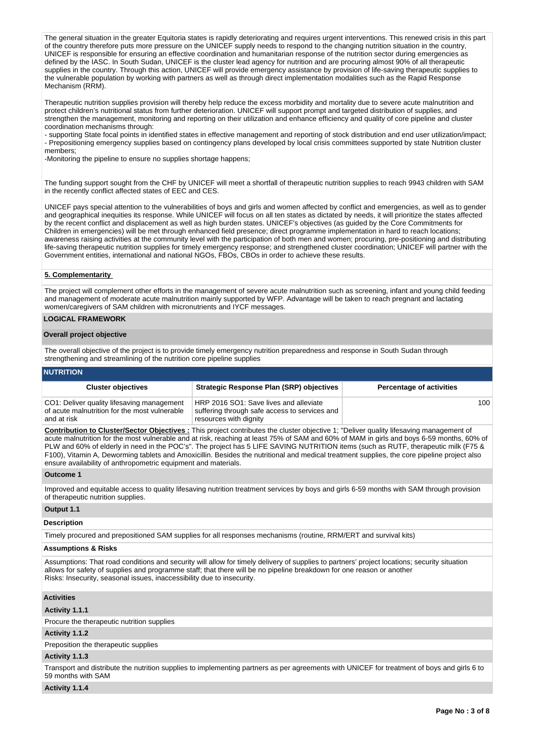The general situation in the greater Equitoria states is rapidly deteriorating and requires urgent interventions. This renewed crisis in this part of the country therefore puts more pressure on the UNICEF supply needs to respond to the changing nutrition situation in the country, UNICEF is responsible for ensuring an effective coordination and humanitarian response of the nutrition sector during emergencies as defined by the IASC. In South Sudan, UNICEF is the cluster lead agency for nutrition and are procuring almost 90% of all therapeutic supplies in the country. Through this action, UNICEF will provide emergency assistance by provision of life-saving therapeutic supplies to the vulnerable population by working with partners as well as through direct implementation modalities such as the Rapid Response Mechanism (RRM).

Therapeutic nutrition supplies provision will thereby help reduce the excess morbidity and mortality due to severe acute malnutrition and protect children's nutritional status from further deterioration. UNICEF will support prompt and targeted distribution of supplies, and strengthen the management, monitoring and reporting on their utilization and enhance efficiency and quality of core pipeline and cluster coordination mechanisms through:

- supporting State focal points in identified states in effective management and reporting of stock distribution and end user utilization/impact; - Prepositioning emergency supplies based on contingency plans developed by local crisis committees supported by state Nutrition cluster members;

-Monitoring the pipeline to ensure no supplies shortage happens;

The funding support sought from the CHF by UNICEF will meet a shortfall of therapeutic nutrition supplies to reach 9943 children with SAM in the recently conflict affected states of EEC and CES.

UNICEF pays special attention to the vulnerabilities of boys and girls and women affected by conflict and emergencies, as well as to gender and geographical inequities its response. While UNICEF will focus on all ten states as dictated by needs, it will prioritize the states affected by the recent conflict and displacement as well as high burden states. UNICEF's objectives (as guided by the Core Commitments for Children in emergencies) will be met through enhanced field presence; direct programme implementation in hard to reach locations; awareness raising activities at the community level with the participation of both men and women; procuring, pre-positioning and distributing life-saving therapeutic nutrition supplies for timely emergency response; and strengthened cluster coordination; UNICEF will partner with the Government entities, international and national NGOs, FBOs, CBOs in order to achieve these results.

### **5. Complementarity**

The project will complement other efforts in the management of severe acute malnutrition such as screening, infant and young child feeding and management of moderate acute malnutrition mainly supported by WFP. Advantage will be taken to reach pregnant and lactating women/caregivers of SAM children with micronutrients and IYCF messages.

## **LOGICAL FRAMEWORK**

#### **Overall project objective**

The overall objective of the project is to provide timely emergency nutrition preparedness and response in South Sudan through strengthening and streamlining of the nutrition core pipeline supplies

## **NUTRITION**

| <b>Cluster objectives</b>                                                                                   | <b>Strategic Response Plan (SRP) objectives</b>                                                                   | <b>Percentage of activities</b> |
|-------------------------------------------------------------------------------------------------------------|-------------------------------------------------------------------------------------------------------------------|---------------------------------|
| CO1: Deliver quality lifesaving management<br>of acute malnutrition for the most vulnerable<br>and at risk_ | HRP 2016 SO1: Save lives and alleviate<br>suffering through safe access to services and<br>resources with dignity | 100                             |

**Contribution to Cluster/Sector Objectives :** This project contributes the cluster objective 1; "Deliver quality lifesaving management of acute malnutrition for the most vulnerable and at risk, reaching at least 75% of SAM and 60% of MAM in girls and boys 6-59 months, 60% of PLW and 60% of elderly in need in the POC's". The project has 5 LIFE SAVING NUTRITION items (such as RUTF, therapeutic milk (F75 & F100), Vitamin A, Deworming tablets and Amoxicillin. Besides the nutritional and medical treatment supplies, the core pipeline project also ensure availability of anthropometric equipment and materials.

#### **Outcome 1**

Improved and equitable access to quality lifesaving nutrition treatment services by boys and girls 6-59 months with SAM through provision of therapeutic nutrition supplies.

### **Output 1.1**

#### **Description**

Timely procured and prepositioned SAM supplies for all responses mechanisms (routine, RRM/ERT and survival kits)

#### **Assumptions & Risks**

Assumptions: That road conditions and security will allow for timely delivery of supplies to partners' project locations; security situation allows for safety of supplies and programme staff; that there will be no pipeline breakdown for one reason or another Risks: Insecurity, seasonal issues, inaccessibility due to insecurity.

### **Activities**

### **Activity 1.1.1**

Procure the therapeutic nutrition supplies

### **Activity 1.1.2**

Preposition the therapeutic supplies

### **Activity 1.1.3**

Transport and distribute the nutrition supplies to implementing partners as per agreements with UNICEF for treatment of boys and girls 6 to 59 months with SAM

### **Activity 1.1.4**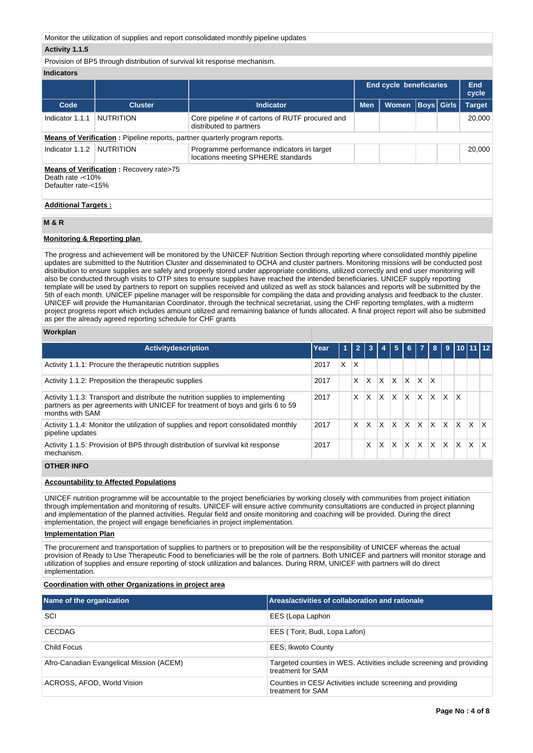Monitor the utilization of supplies and report consolidated monthly pipeline updates

### **Activity 1.1.5**

Provision of BP5 through distribution of survival kit response mechanism.

## **Indicators**

|                                         |                                                |                                                                                    |            | <b>End cycle beneficiaries</b> |                   |  |               |  |
|-----------------------------------------|------------------------------------------------|------------------------------------------------------------------------------------|------------|--------------------------------|-------------------|--|---------------|--|
| Code                                    | <b>Cluster</b>                                 | Indicator                                                                          | <b>Men</b> | <b>Women</b>                   | <b>Boys Girls</b> |  | <b>Target</b> |  |
| Indicator 1.1.1                         | NUTRITION                                      | Core pipeline # of cartons of RUTF procured and<br>distributed to partners         |            |                                |                   |  | 20,000        |  |
|                                         |                                                | <b>Means of Verification:</b> Pipeline reports, partner quarterly program reports. |            |                                |                   |  |               |  |
| Indicator 1.1.2                         | NUTRITION                                      | Programme performance indicators in target<br>locations meeting SPHERE standards   |            |                                |                   |  | 20,000        |  |
| Death rate -<10%<br>Defaulter rate-<15% | <b>Means of Verification:</b> Recovery rate>75 |                                                                                    |            |                                |                   |  |               |  |
| <b>Additional Targets:</b>              |                                                |                                                                                    |            |                                |                   |  |               |  |

### **M & R**

## **Monitoring & Reporting plan**

The progress and achievement will be monitored by the UNICEF Nutrition Section through reporting where consolidated monthly pipeline updates are submitted to the Nutrition Cluster and disseminated to OCHA and cluster partners. Monitoring missions will be conducted post distribution to ensure supplies are safely and properly stored under appropriate conditions, utilized correctly and end user monitoring will also be conducted through visits to OTP sites to ensure supplies have reached the intended beneficiaries. UNICEF supply reporting template will be used by partners to report on supplies received and utilized as well as stock balances and reports will be submitted by the 5th of each month. UNICEF pipeline manager will be responsible for compiling the data and providing analysis and feedback to the cluster. UNICEF will provide the Humanitarian Coordinator, through the technical secretariat, using the CHF reporting templates, with a midterm project progress report which includes amount utilized and remaining balance of funds allocated. A final project report will also be submitted as per the already agreed reporting schedule for CHF grants

### **Workplan**

| <b>Activitydescription</b>                                                                                                                                                           | Year | 1 | $\overline{2}$ |   |   | 5            | 6 <sup>1</sup> | $\overline{7}$ | 8 <sup>1</sup> |          |                           | $9$ 10 11 12 |     |
|--------------------------------------------------------------------------------------------------------------------------------------------------------------------------------------|------|---|----------------|---|---|--------------|----------------|----------------|----------------|----------|---------------------------|--------------|-----|
| Activity 1.1.1: Procure the therapeutic nutrition supplies                                                                                                                           | 2017 | X | X              |   |   |              |                |                |                |          |                           |              |     |
| Activity 1.1.2: Preposition the therapeutic supplies                                                                                                                                 | 2017 |   | X              | X | X | ΙX           | ΙX             | $\mathsf{X}$   | X              |          |                           |              |     |
| Activity 1.1.3: Transport and distribute the nutrition supplies to implementing<br>partners as per agreements with UNICEF for treatment of boys and girls 6 to 59<br>months with SAM | 2017 |   | X              | X | X | X            | ΙX             | X.             | X              | $\times$ | $\boldsymbol{\mathsf{X}}$ |              |     |
| Activity 1.1.4: Monitor the utilization of supplies and report consolidated monthly<br>pipeline updates                                                                              | 2017 |   | X              | X | X | $\mathsf{x}$ | $\mathsf{X}$   | X              | X              | X.       | X.                        | X            | IX. |
| Activity 1.1.5: Provision of BP5 through distribution of survival kit response<br>mechanism.                                                                                         | 2017 |   |                | x | X | X            | $\mathsf{x}$   | X              | ΙX.            | X        | $\mathsf{x}$              | X            | X.  |

## **OTHER INFO**

### **Accountability to Affected Populations**

UNICEF nutrition programme will be accountable to the project beneficiaries by working closely with communities from project initiation through implementation and monitoring of results. UNICEF will ensure active community consultations are conducted in project planning and implementation of the planned activities. Regular field and onsite monitoring and coaching will be provided. During the direct implementation, the project will engage beneficiaries in project implementation.

### **Implementation Plan**

The procurement and transportation of supplies to partners or to preposition will be the responsibility of UNICEF whereas the actual provision of Ready to Use Therapeutic Food to beneficiaries will be the role of partners. Both UNICEF and partners will monitor storage and utilization of supplies and ensure reporting of stock utilization and balances. During RRM, UNICEF with partners will do direct implementation.

## **Coordination with other Organizations in project area**

| Name of the organization                 | Areas/activities of collaboration and rationale                                           |
|------------------------------------------|-------------------------------------------------------------------------------------------|
| SCI                                      | EES (Lopa Laphon                                                                          |
| <b>CECDAG</b>                            | EES (Torit, Budi, Lopa Lafon)                                                             |
| Child Focus                              | EES; Ikwoto County                                                                        |
| Afro-Canadian Evangelical Mission (ACEM) | Targeted counties in WES. Activities include screening and providing<br>treatment for SAM |
| ACROSS, AFOD, World Vision               | Counties in CES/ Activities include screening and providing<br>treatment for SAM          |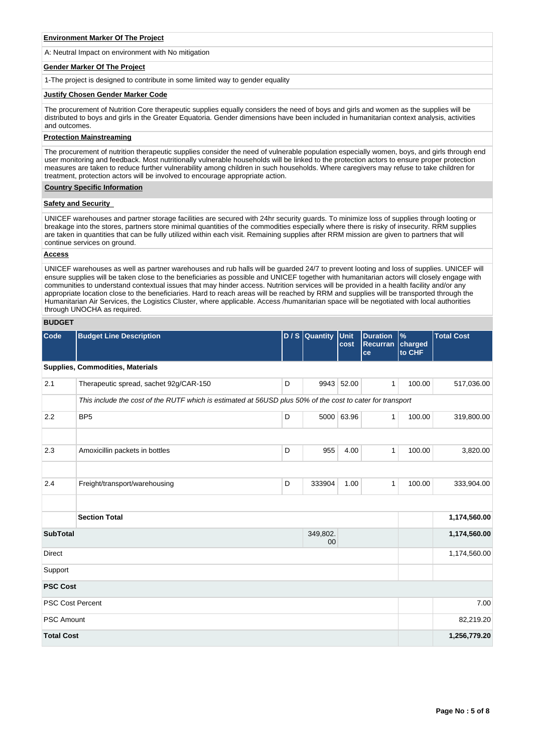#### **Environment Marker Of The Project**

A: Neutral Impact on environment with No mitigation

#### **Gender Marker Of The Project**

1-The project is designed to contribute in some limited way to gender equality

#### **Justify Chosen Gender Marker Code**

The procurement of Nutrition Core therapeutic supplies equally considers the need of boys and girls and women as the supplies will be distributed to boys and girls in the Greater Equatoria. Gender dimensions have been included in humanitarian context analysis, activities and outcomes.

#### **Protection Mainstreaming**

The procurement of nutrition therapeutic supplies consider the need of vulnerable population especially women, boys, and girls through end user monitoring and feedback. Most nutritionally vulnerable households will be linked to the protection actors to ensure proper protection measures are taken to reduce further vulnerability among children in such households. Where caregivers may refuse to take children for treatment, protection actors will be involved to encourage appropriate action.

#### **Country Specific Information**

### **Safety and Security**

UNICEF warehouses and partner storage facilities are secured with 24hr security guards. To minimize loss of supplies through looting or breakage into the stores, partners store minimal quantities of the commodities especially where there is risky of insecurity. RRM supplies are taken in quantities that can be fully utilized within each visit. Remaining supplies after RRM mission are given to partners that will continue services on ground.

## **Access**

UNICEF warehouses as well as partner warehouses and rub halls will be guarded 24/7 to prevent looting and loss of supplies. UNICEF will ensure supplies will be taken close to the beneficiaries as possible and UNICEF together with humanitarian actors will closely engage with communities to understand contextual issues that may hinder access. Nutrition services will be provided in a health facility and/or any appropriate location close to the beneficiaries. Hard to reach areas will be reached by RRM and supplies will be transported through the Humanitarian Air Services, the Logistics Cluster, where applicable. Access /humanitarian space will be negotiated with local authorities through UNOCHA as required.

## **BUDGET**

| Code                    | <b>Budget Line Description</b>                                                                            |   | $D / S$ Quantity | Unit<br>cost | <b>Duration</b><br>Recurran<br>ce | $\frac{9}{6}$<br>charged<br>to CHF | <b>Total Cost</b> |
|-------------------------|-----------------------------------------------------------------------------------------------------------|---|------------------|--------------|-----------------------------------|------------------------------------|-------------------|
|                         | Supplies, Commodities, Materials                                                                          |   |                  |              |                                   |                                    |                   |
| 2.1                     | Therapeutic spread, sachet 92g/CAR-150                                                                    | D |                  | 9943 52.00   | $\mathbf{1}$                      | 100.00                             | 517,036.00        |
|                         | This include the cost of the RUTF which is estimated at 56USD plus 50% of the cost to cater for transport |   |                  |              |                                   |                                    |                   |
| 2.2                     | BP <sub>5</sub>                                                                                           | D |                  | 5000 63.96   | 1                                 | 100.00                             | 319,800.00        |
|                         |                                                                                                           |   |                  |              |                                   |                                    |                   |
| 2.3                     | Amoxicillin packets in bottles                                                                            | D | 955              | 4.00         | 1                                 | 100.00                             | 3,820.00          |
|                         |                                                                                                           |   |                  |              |                                   |                                    |                   |
| 2.4                     | Freight/transport/warehousing                                                                             | D | 333904           | 1.00         | $\mathbf{1}$                      | 100.00                             | 333,904.00        |
|                         |                                                                                                           |   |                  |              |                                   |                                    |                   |
|                         | <b>Section Total</b>                                                                                      |   |                  |              |                                   |                                    | 1,174,560.00      |
| <b>SubTotal</b>         |                                                                                                           |   | 349,802.<br>00   |              |                                   |                                    | 1,174,560.00      |
| <b>Direct</b>           |                                                                                                           |   |                  |              |                                   |                                    | 1,174,560.00      |
| Support                 |                                                                                                           |   |                  |              |                                   |                                    |                   |
| <b>PSC Cost</b>         |                                                                                                           |   |                  |              |                                   |                                    |                   |
| <b>PSC Cost Percent</b> |                                                                                                           |   |                  |              |                                   |                                    | 7.00              |
| <b>PSC Amount</b>       |                                                                                                           |   |                  |              |                                   |                                    | 82,219.20         |
| <b>Total Cost</b>       |                                                                                                           |   |                  |              |                                   |                                    | 1,256,779.20      |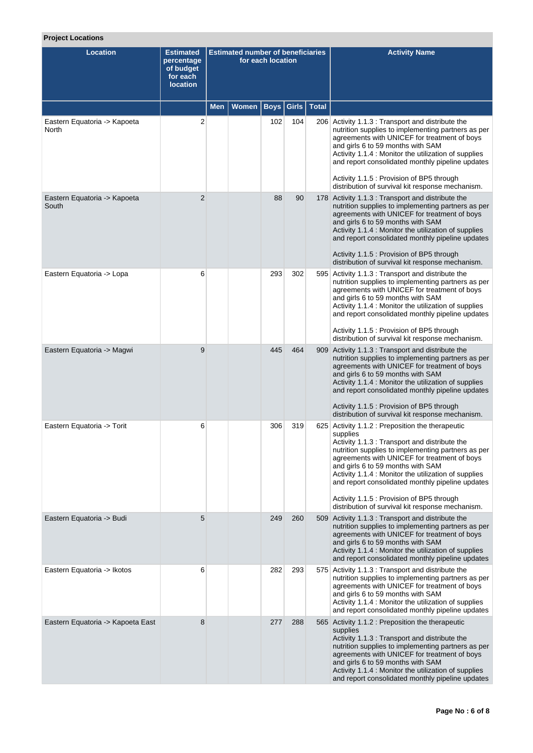# **Project Locations**

| <b>Location</b>                       | <b>Estimated</b><br>percentage<br>of budget<br>for each<br><b>location</b> |     |       | <b>Estimated number of beneficiaries</b><br>for each location |       |              | <b>Activity Name</b>                                                                                                                                                                                                                                                                                                                                                                                                                                                  |
|---------------------------------------|----------------------------------------------------------------------------|-----|-------|---------------------------------------------------------------|-------|--------------|-----------------------------------------------------------------------------------------------------------------------------------------------------------------------------------------------------------------------------------------------------------------------------------------------------------------------------------------------------------------------------------------------------------------------------------------------------------------------|
|                                       |                                                                            | Men | Women | <b>Boys</b>                                                   | Girls | <b>Total</b> |                                                                                                                                                                                                                                                                                                                                                                                                                                                                       |
| Eastern Equatoria -> Kapoeta<br>North | $\overline{2}$                                                             |     |       | 102                                                           | 104   |              | 206 Activity 1.1.3 : Transport and distribute the<br>nutrition supplies to implementing partners as per<br>agreements with UNICEF for treatment of boys<br>and girls 6 to 59 months with SAM<br>Activity 1.1.4 : Monitor the utilization of supplies<br>and report consolidated monthly pipeline updates<br>Activity 1.1.5 : Provision of BP5 through<br>distribution of survival kit response mechanism.                                                             |
| Eastern Equatoria -> Kapoeta<br>South | $\overline{2}$                                                             |     |       | 88                                                            | 90    |              | 178 Activity 1.1.3 : Transport and distribute the<br>nutrition supplies to implementing partners as per<br>agreements with UNICEF for treatment of boys<br>and girls 6 to 59 months with SAM<br>Activity 1.1.4 : Monitor the utilization of supplies<br>and report consolidated monthly pipeline updates<br>Activity 1.1.5 : Provision of BP5 through<br>distribution of survival kit response mechanism.                                                             |
| Eastern Equatoria -> Lopa             | 6                                                                          |     |       | 293                                                           | 302   |              | 595 Activity 1.1.3 : Transport and distribute the<br>nutrition supplies to implementing partners as per<br>agreements with UNICEF for treatment of boys<br>and girls 6 to 59 months with SAM<br>Activity 1.1.4 : Monitor the utilization of supplies<br>and report consolidated monthly pipeline updates<br>Activity 1.1.5 : Provision of BP5 through<br>distribution of survival kit response mechanism.                                                             |
| Eastern Equatoria -> Magwi            | 9                                                                          |     |       | 445                                                           | 464   |              | 909 Activity 1.1.3 : Transport and distribute the<br>nutrition supplies to implementing partners as per<br>agreements with UNICEF for treatment of boys<br>and girls 6 to 59 months with SAM<br>Activity 1.1.4 : Monitor the utilization of supplies<br>and report consolidated monthly pipeline updates<br>Activity 1.1.5 : Provision of BP5 through<br>distribution of survival kit response mechanism.                                                             |
| Eastern Equatoria -> Torit            | 6                                                                          |     |       | 306                                                           | 319   |              | 625 Activity 1.1.2 : Preposition the therapeutic<br>supplies<br>Activity 1.1.3 : Transport and distribute the<br>nutrition supplies to implementing partners as per<br>agreements with UNICEF for treatment of boys<br>and girls 6 to 59 months with SAM<br>Activity 1.1.4 : Monitor the utilization of supplies<br>and report consolidated monthly pipeline updates<br>Activity 1.1.5 : Provision of BP5 through<br>distribution of survival kit response mechanism. |
| Eastern Equatoria -> Budi             | 5                                                                          |     |       | 249                                                           | 260   |              | 509 Activity 1.1.3 : Transport and distribute the<br>nutrition supplies to implementing partners as per<br>agreements with UNICEF for treatment of boys<br>and girls 6 to 59 months with SAM<br>Activity 1.1.4 : Monitor the utilization of supplies<br>and report consolidated monthly pipeline updates                                                                                                                                                              |
| Eastern Equatoria -> Ikotos           | 6                                                                          |     |       | 282                                                           | 293   |              | 575 Activity 1.1.3 : Transport and distribute the<br>nutrition supplies to implementing partners as per<br>agreements with UNICEF for treatment of boys<br>and girls 6 to 59 months with SAM<br>Activity 1.1.4 : Monitor the utilization of supplies<br>and report consolidated monthly pipeline updates                                                                                                                                                              |
| Eastern Equatoria -> Kapoeta East     | 8                                                                          |     |       | 277                                                           | 288   |              | 565 Activity 1.1.2 : Preposition the therapeutic<br>supplies<br>Activity 1.1.3 : Transport and distribute the<br>nutrition supplies to implementing partners as per<br>agreements with UNICEF for treatment of boys<br>and girls 6 to 59 months with SAM<br>Activity 1.1.4 : Monitor the utilization of supplies<br>and report consolidated monthly pipeline updates                                                                                                  |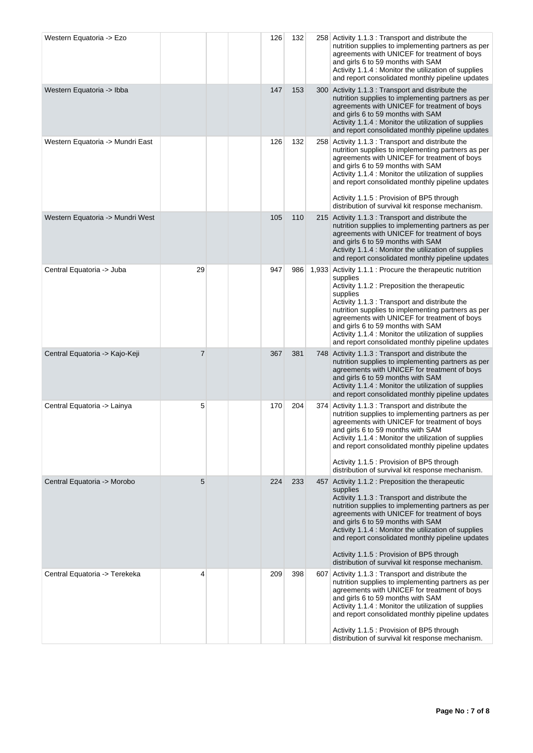| Western Equatoria -> Ezo         |                |  | 126 | 132 |       | 258 Activity 1.1.3 : Transport and distribute the<br>nutrition supplies to implementing partners as per<br>agreements with UNICEF for treatment of boys<br>and girls 6 to 59 months with SAM<br>Activity 1.1.4 : Monitor the utilization of supplies<br>and report consolidated monthly pipeline updates                                                                                                                                                              |
|----------------------------------|----------------|--|-----|-----|-------|-----------------------------------------------------------------------------------------------------------------------------------------------------------------------------------------------------------------------------------------------------------------------------------------------------------------------------------------------------------------------------------------------------------------------------------------------------------------------|
| Western Equatoria -> Ibba        |                |  | 147 | 153 |       | 300 Activity 1.1.3 : Transport and distribute the<br>nutrition supplies to implementing partners as per<br>agreements with UNICEF for treatment of boys<br>and girls 6 to 59 months with SAM<br>Activity 1.1.4 : Monitor the utilization of supplies<br>and report consolidated monthly pipeline updates                                                                                                                                                              |
| Western Equatoria -> Mundri East |                |  | 126 | 132 |       | 258 Activity 1.1.3 : Transport and distribute the<br>nutrition supplies to implementing partners as per<br>agreements with UNICEF for treatment of boys<br>and girls 6 to 59 months with SAM<br>Activity 1.1.4 : Monitor the utilization of supplies<br>and report consolidated monthly pipeline updates<br>Activity 1.1.5 : Provision of BP5 through<br>distribution of survival kit response mechanism.                                                             |
| Western Equatoria -> Mundri West |                |  | 105 | 110 |       | 215 Activity 1.1.3 : Transport and distribute the<br>nutrition supplies to implementing partners as per<br>agreements with UNICEF for treatment of boys<br>and girls 6 to 59 months with SAM<br>Activity 1.1.4 : Monitor the utilization of supplies<br>and report consolidated monthly pipeline updates                                                                                                                                                              |
| Central Equatoria -> Juba        | 29             |  | 947 | 986 | 1,933 | Activity 1.1.1 : Procure the therapeutic nutrition<br>supplies<br>Activity 1.1.2 : Preposition the therapeutic<br>supplies<br>Activity 1.1.3 : Transport and distribute the<br>nutrition supplies to implementing partners as per<br>agreements with UNICEF for treatment of boys<br>and girls 6 to 59 months with SAM<br>Activity 1.1.4 : Monitor the utilization of supplies<br>and report consolidated monthly pipeline updates                                    |
| Central Equatoria -> Kajo-Keji   | $\overline{7}$ |  | 367 | 381 |       | 748 Activity 1.1.3 : Transport and distribute the<br>nutrition supplies to implementing partners as per<br>agreements with UNICEF for treatment of boys<br>and girls 6 to 59 months with SAM<br>Activity 1.1.4 : Monitor the utilization of supplies<br>and report consolidated monthly pipeline updates                                                                                                                                                              |
| Central Equatoria -> Lainya      | 5              |  | 170 | 204 | 374   | Activity 1.1.3 : Transport and distribute the<br>nutrition supplies to implementing partners as per<br>agreements with UNICEF for treatment of boys<br>and girls 6 to 59 months with SAM<br>Activity 1.1.4 : Monitor the utilization of supplies<br>and report consolidated monthly pipeline updates<br>Activity 1.1.5 : Provision of BP5 through<br>distribution of survival kit response mechanism.                                                                 |
| Central Equatoria -> Morobo      | 5              |  | 224 | 233 |       | 457 Activity 1.1.2 : Preposition the therapeutic<br>supplies<br>Activity 1.1.3 : Transport and distribute the<br>nutrition supplies to implementing partners as per<br>agreements with UNICEF for treatment of boys<br>and girls 6 to 59 months with SAM<br>Activity 1.1.4 : Monitor the utilization of supplies<br>and report consolidated monthly pipeline updates<br>Activity 1.1.5 : Provision of BP5 through<br>distribution of survival kit response mechanism. |
| Central Equatoria -> Terekeka    | 4              |  | 209 | 398 | 607   | Activity 1.1.3 : Transport and distribute the<br>nutrition supplies to implementing partners as per<br>agreements with UNICEF for treatment of boys<br>and girls 6 to 59 months with SAM<br>Activity 1.1.4 : Monitor the utilization of supplies<br>and report consolidated monthly pipeline updates<br>Activity 1.1.5 : Provision of BP5 through<br>distribution of survival kit response mechanism.                                                                 |